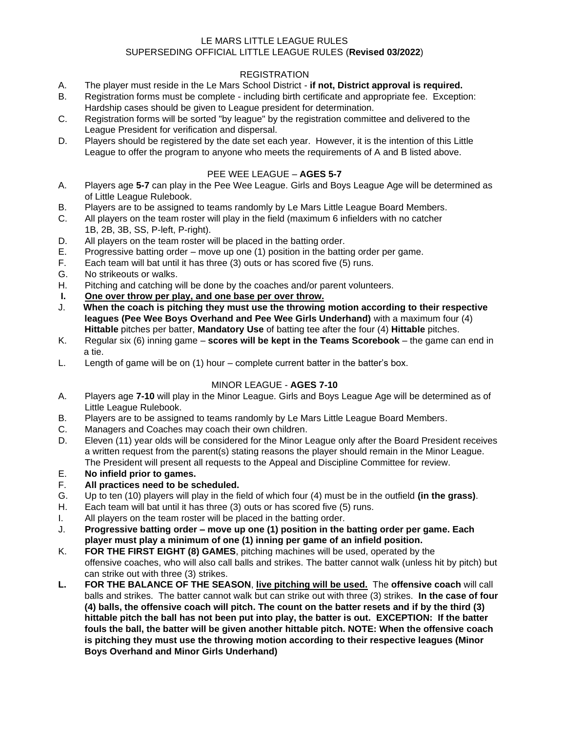## LE MARS LITTLE LEAGUE RULES SUPERSEDING OFFICIAL LITTLE LEAGUE RULES (**Revised 03/2022**)

# REGISTRATION

- A. The player must reside in the Le Mars School District **if not, District approval is required.**
- B. Registration forms must be complete including birth certificate and appropriate fee. Exception: Hardship cases should be given to League president for determination.
- C. Registration forms will be sorted "by league" by the registration committee and delivered to the League President for verification and dispersal.
- D. Players should be registered by the date set each year. However, it is the intention of this Little League to offer the program to anyone who meets the requirements of A and B listed above.

# PEE WEE LEAGUE – **AGES 5-7**

- A. Players age **5-7** can play in the Pee Wee League. Girls and Boys League Age will be determined as of Little League Rulebook.
- B. Players are to be assigned to teams randomly by Le Mars Little League Board Members.
- C. All players on the team roster will play in the field (maximum 6 infielders with no catcher 1B, 2B, 3B, SS, P-left, P-right).
- D. All players on the team roster will be placed in the batting order.
- E. Progressive batting order move up one (1) position in the batting order per game.
- F. Each team will bat until it has three (3) outs or has scored five (5) runs.
- G. No strikeouts or walks.
- H. Pitching and catching will be done by the coaches and/or parent volunteers.
- **I. One over throw per play, and one base per over throw.**
- J. **When the coach is pitching they must use the throwing motion according to their respective leagues (Pee Wee Boys Overhand and Pee Wee Girls Underhand)** with a maximum four (4) **Hittable** pitches per batter, **Mandatory Use** of batting tee after the four (4) **Hittable** pitches.
- K. Regular six (6) inning game **scores will be kept in the Teams Scorebook** the game can end in a tie.
- L. Length of game will be on (1) hour complete current batter in the batter's box.

## MINOR LEAGUE - **AGES 7-10**

- A. Players age **7-10** will play in the Minor League. Girls and Boys League Age will be determined as of Little League Rulebook.
- B. Players are to be assigned to teams randomly by Le Mars Little League Board Members.
- C. Managers and Coaches may coach their own children.
- D. Eleven (11) year olds will be considered for the Minor League only after the Board President receives a written request from the parent(s) stating reasons the player should remain in the Minor League. The President will present all requests to the Appeal and Discipline Committee for review.
- E. **No infield prior to games.**
- F. **All practices need to be scheduled.**
- G. Up to ten (10) players will play in the field of which four (4) must be in the outfield **(in the grass)**.
- H. Each team will bat until it has three (3) outs or has scored five (5) runs.
- I. All players on the team roster will be placed in the batting order.
- J. **Progressive batting order – move up one (1) position in the batting order per game. Each player must play a minimum of one (1) inning per game of an infield position.**
- K. **FOR THE FIRST EIGHT (8) GAMES**, pitching machines will be used, operated by the offensive coaches, who will also call balls and strikes. The batter cannot walk (unless hit by pitch) but can strike out with three (3) strikes.
- **L. FOR THE BALANCE OF THE SEASON**, **live pitching will be used.** The **offensive coach** will call balls and strikes. The batter cannot walk but can strike out with three (3) strikes. **In the case of four (4) balls, the offensive coach will pitch. The count on the batter resets and if by the third (3) hittable pitch the ball has not been put into play, the batter is out. EXCEPTION: If the batter fouls the ball, the batter will be given another hittable pitch. NOTE: When the offensive coach is pitching they must use the throwing motion according to their respective leagues (Minor Boys Overhand and Minor Girls Underhand)**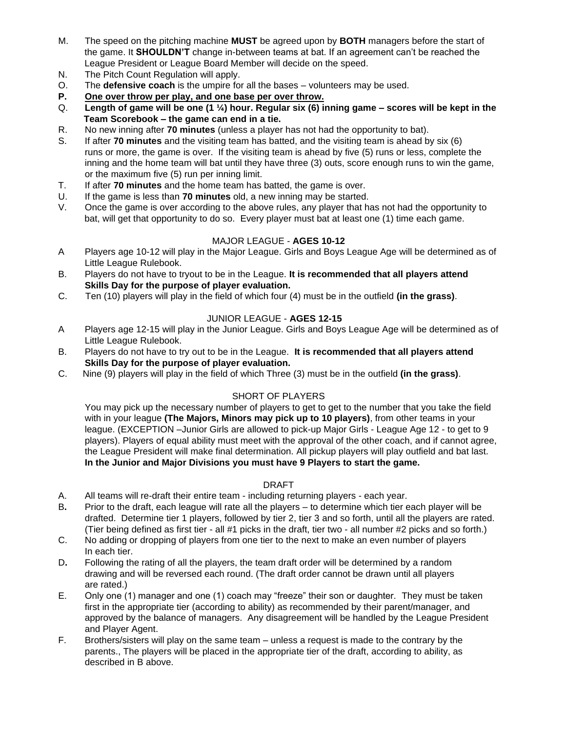- M. The speed on the pitching machine **MUST** be agreed upon by **BOTH** managers before the start of the game. It **SHOULDN'T** change in-between teams at bat. If an agreement can't be reached the League President or League Board Member will decide on the speed.
- N. The Pitch Count Regulation will apply.
- O. The **defensive coach** is the umpire for all the bases volunteers may be used.
- **P. One over throw per play, and one base per over throw.**
- Q. **Length of game will be one (1 ¼) hour. Regular six (6) inning game – scores will be kept in the Team Scorebook – the game can end in a tie.**
- R. No new inning after **70 minutes** (unless a player has not had the opportunity to bat).
- S. If after **70 minutes** and the visiting team has batted, and the visiting team is ahead by six (6) runs or more, the game is over. If the visiting team is ahead by five (5) runs or less, complete the inning and the home team will bat until they have three (3) outs, score enough runs to win the game, or the maximum five (5) run per inning limit.
- T. If after **70 minutes** and the home team has batted, the game is over.
- U. If the game is less than **70 minutes** old, a new inning may be started.
- V. Once the game is over according to the above rules, any player that has not had the opportunity to bat, will get that opportunity to do so. Every player must bat at least one (1) time each game.

# MAJOR LEAGUE - **AGES 10-12**

- A Players age 10-12 will play in the Major League. Girls and Boys League Age will be determined as of Little League Rulebook.
- B. Players do not have to tryout to be in the League. **It is recommended that all players attend Skills Day for the purpose of player evaluation.**
- C. Ten (10) players will play in the field of which four (4) must be in the outfield **(in the grass)**.

## JUNIOR LEAGUE - **AGES 12-15**

- A Players age 12-15 will play in the Junior League. Girls and Boys League Age will be determined as of Little League Rulebook.
- B. Players do not have to try out to be in the League. **It is recommended that all players attend Skills Day for the purpose of player evaluation.**
- C. Nine (9) players will play in the field of which Three (3) must be in the outfield **(in the grass)**.

## SHORT OF PLAYERS

You may pick up the necessary number of players to get to get to the number that you take the field with in your league **(The Majors, Minors may pick up to 10 players)**, from other teams in your league. (EXCEPTION –Junior Girls are allowed to pick-up Major Girls - League Age 12 - to get to 9 players). Players of equal ability must meet with the approval of the other coach, and if cannot agree, the League President will make final determination. All pickup players will play outfield and bat last. **In the Junior and Major Divisions you must have 9 Players to start the game.**

## DRAFT

- A. All teams will re-draft their entire team including returning players each year.
- B**.** Prior to the draft, each league will rate all the players to determine which tier each player will be drafted. Determine tier 1 players, followed by tier 2, tier 3 and so forth, until all the players are rated. (Tier being defined as first tier - all #1 picks in the draft, tier two - all number #2 picks and so forth.)
- C. No adding or dropping of players from one tier to the next to make an even number of players In each tier.
- D**.** Following the rating of all the players, the team draft order will be determined by a random drawing and will be reversed each round. (The draft order cannot be drawn until all players are rated.)
- E. Only one (1) manager and one (1) coach may "freeze" their son or daughter.They must be taken first in the appropriate tier (according to ability) as recommended by their parent/manager, and approved by the balance of managers. Any disagreement will be handled by the League President and Player Agent.
- F. Brothers/sisters will play on the same team unless a request is made to the contrary by the parents., The players will be placed in the appropriate tier of the draft, according to ability, as described in B above.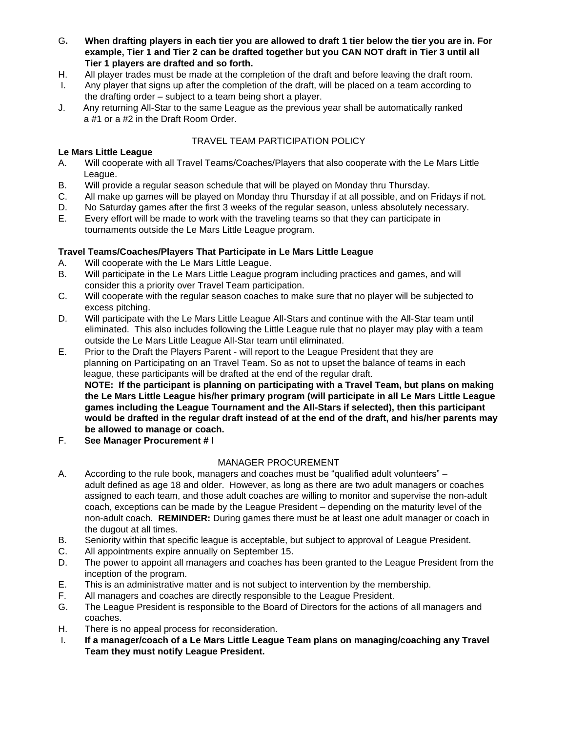- G**. When drafting players in each tier you are allowed to draft 1 tier below the tier you are in. For example, Tier 1 and Tier 2 can be drafted together but you CAN NOT draft in Tier 3 until all Tier 1 players are drafted and so forth.**
- H. All player trades must be made at the completion of the draft and before leaving the draft room.
- I. Any player that signs up after the completion of the draft, will be placed on a team according to the drafting order – subject to a team being short a player.
- J. Any returning All-Star to the same League as the previous year shall be automatically ranked a #1 or a #2 in the Draft Room Order.

# TRAVEL TEAM PARTICIPATION POLICY

## **Le Mars Little League**

- A. Will cooperate with all Travel Teams/Coaches/Players that also cooperate with the Le Mars Little League.
- B. Will provide a regular season schedule that will be played on Monday thru Thursday.
- C. All make up games will be played on Monday thru Thursday if at all possible, and on Fridays if not.
- D. No Saturday games after the first 3 weeks of the regular season, unless absolutely necessary.
- E. Every effort will be made to work with the traveling teams so that they can participate in tournaments outside the Le Mars Little League program.

# **Travel Teams/Coaches/Players That Participate in Le Mars Little League**

- A. Will cooperate with the Le Mars Little League.
- B. Will participate in the Le Mars Little League program including practices and games, and will consider this a priority over Travel Team participation.
- C. Will cooperate with the regular season coaches to make sure that no player will be subjected to excess pitching.
- D. Will participate with the Le Mars Little League All-Stars and continue with the All-Star team until eliminated. This also includes following the Little League rule that no player may play with a team outside the Le Mars Little League All-Star team until eliminated.
- E.Prior to the Draft the Players Parent will report to the League President that they are planning on Participating on an Travel Team. So as not to upset the balance of teams in each league, these participants will be drafted at the end of the regular draft. **NOTE: If the participant is planning on participating with a Travel Team, but plans on making**

**the Le Mars Little League his/her primary program (will participate in all Le Mars Little League games including the League Tournament and the All-Stars if selected), then this participant would be drafted in the regular draft instead of at the end of the draft, and his/her parents may be allowed to manage or coach.**

F. **See Manager Procurement # I**

# MANAGER PROCUREMENT

- A. According to the rule book, managers and coaches must be "qualified adult volunteers" adult defined as age 18 and older. However, as long as there are two adult managers or coaches assigned to each team, and those adult coaches are willing to monitor and supervise the non-adult coach, exceptions can be made by the League President – depending on the maturity level of the non-adult coach. **REMINDER:** During games there must be at least one adult manager or coach in the dugout at all times.
- B. Seniority within that specific league is acceptable, but subject to approval of League President.
- C. All appointments expire annually on September 15.
- D. The power to appoint all managers and coaches has been granted to the League President from the inception of the program.
- E. This is an administrative matter and is not subject to intervention by the membership.
- F. All managers and coaches are directly responsible to the League President.
- G. The League President is responsible to the Board of Directors for the actions of all managers and coaches.
- H. There is no appeal process for reconsideration.
- I. **If a manager/coach of a Le Mars Little League Team plans on managing/coaching any Travel Team they must notify League President.**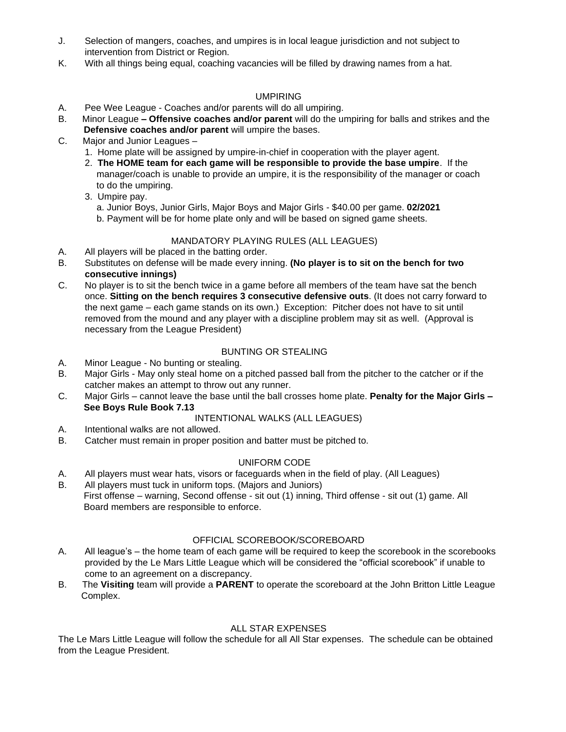- J. Selection of mangers, coaches, and umpires is in local league jurisdiction and not subject to intervention from District or Region.
- K. With all things being equal, coaching vacancies will be filled by drawing names from a hat.

# UMPIRING

- A. Pee Wee League Coaches and/or parents will do all umpiring.
- B.Minor League **– Offensive coaches and/or parent** will do the umpiring for balls and strikes and the **Defensive coaches and/or parent** will umpire the bases.
- C. Major and Junior Leagues
	- 1. Home plate will be assigned by umpire-in-chief in cooperation with the player agent.
	- 2. **The HOME team for each game will be responsible to provide the base umpire**. If the manager/coach is unable to provide an umpire, it is the responsibility of the manager or coach to do the umpiring.
	- 3. Umpire pay.

a. Junior Boys, Junior Girls, Major Boys and Major Girls - \$40.00 per game. **02/2021**

b. Payment will be for home plate only and will be based on signed game sheets.

## MANDATORY PLAYING RULES (ALL LEAGUES)

- A. All players will be placed in the batting order.
- B. Substitutes on defense will be made every inning. **(No player is to sit on the bench for two consecutive innings)**
- C. No player is to sit the bench twice in a game before all members of the team have sat the bench once. **Sitting on the bench requires 3 consecutive defensive outs**. (It does not carry forward to the next game – each game stands on its own.)Exception: Pitcher does not have to sit until removed from the mound and any player with a discipline problem may sit as well. (Approval is necessary from the League President)

## BUNTING OR STEALING

- A. Minor League No bunting or stealing.
- B. Major Girls May only steal home on a pitched passed ball from the pitcher to the catcher or if the catcher makes an attempt to throw out any runner.
- C. Major Girls cannot leave the base until the ball crosses home plate. **Penalty for the Major Girls – See Boys Rule Book 7.13**

#### INTENTIONAL WALKS (ALL LEAGUES)

- A. Intentional walks are not allowed.
- B. Catcher must remain in proper position and batter must be pitched to.

## UNIFORM CODE

- A. All players must wear hats, visors or faceguards when in the field of play. (All Leagues)
- B. All players must tuck in uniform tops. (Majors and Juniors) First offense – warning, Second offense - sit out (1) inning, Third offense - sit out (1) game. All Board members are responsible to enforce.

# OFFICIAL SCOREBOOK/SCOREBOARD

- A. All league's the home team of each game will be required to keep the scorebook in the scorebooks provided by the Le Mars Little League which will be considered the "official scorebook" if unable to come to an agreement on a discrepancy.
- B. The **Visiting** team will provide a **PARENT** to operate the scoreboard at the John Britton Little League Complex.

## ALL STAR EXPENSES

The Le Mars Little League will follow the schedule for all All Star expenses. The schedule can be obtained from the League President.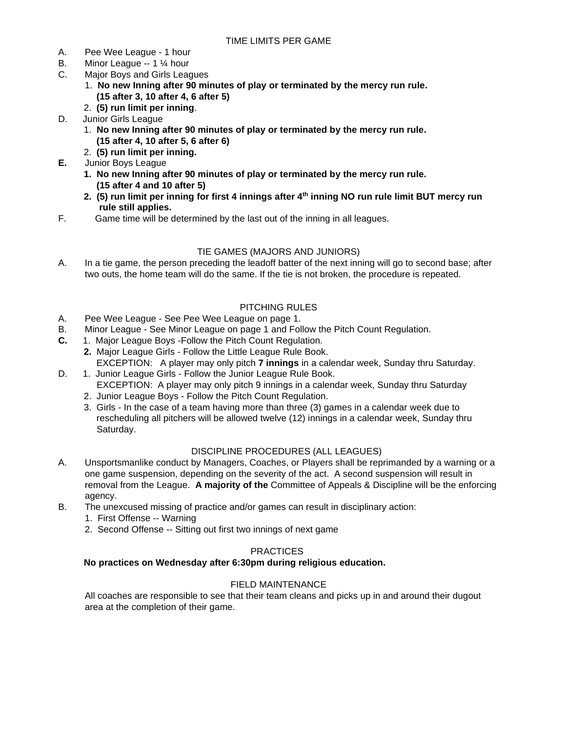- A. Pee Wee League 1 hour
- B. Minor League -- 1 ¼ hour
- C. Major Boys and Girls Leagues
	- 1. **No new Inning after 90 minutes of play or terminated by the mercy run rule. (15 after 3, 10 after 4, 6 after 5)**
	- 2. **(5) run limit per inning**.
- D. Junior Girls League
	- 1. **No new Inning after 90 minutes of play or terminated by the mercy run rule. (15 after 4, 10 after 5, 6 after 6)**
	- 2. **(5) run limit per inning.**
- **E.** Junior Boys League
	- **1. No new Inning after 90 minutes of play or terminated by the mercy run rule. (15 after 4 and 10 after 5)**
	- **2. (5) run limit per inning for first 4 innings after 4th inning NO run rule limit BUT mercy run rule still applies.**
- F. Game time will be determined by the last out of the inning in all leagues.

## TIE GAMES (MAJORS AND JUNIORS)

A. In a tie game, the person preceding the leadoff batter of the next inning will go to second base; after two outs, the home team will do the same. If the tie is not broken, the procedure is repeated.

# PITCHING RULES

- A. Pee Wee League See Pee Wee League on page 1.
- B. Minor League See Minor League on page 1 and Follow the Pitch Count Regulation.
- **C.** 1. Major League Boys -Follow the Pitch Count Regulation.
	- **2.** Major League Girls Follow the Little League Rule Book. EXCEPTION: A player may only pitch **7 innings** in a calendar week, Sunday thru Saturday.
- D. 1. Junior League Girls Follow the Junior League Rule Book. EXCEPTION: A player may only pitch 9 innings in a calendar week, Sunday thru Saturday
	- 2. Junior League Boys Follow the Pitch Count Regulation.
	- 3. Girls In the case of a team having more than three (3) games in a calendar week due to rescheduling all pitchers will be allowed twelve (12) innings in a calendar week, Sunday thru Saturday.

## DISCIPLINE PROCEDURES (ALL LEAGUES)

- A. Unsportsmanlike conduct by Managers, Coaches, or Players shall be reprimanded by a warning or a one game suspension, depending on the severity of the act. A second suspension will result in removal from the League. **A majority of the** Committee of Appeals & Discipline will be the enforcing agency.
- B. The unexcused missing of practice and/or games can result in disciplinary action:
	- 1. First Offense -- Warning
	- 2. Second Offense -- Sitting out first two innings of next game

## PRACTICES

## **No practices on Wednesday after 6:30pm during religious education.**

## FIELD MAINTENANCE

 All coaches are responsible to see that their team cleans and picks up in and around their dugout area at the completion of their game.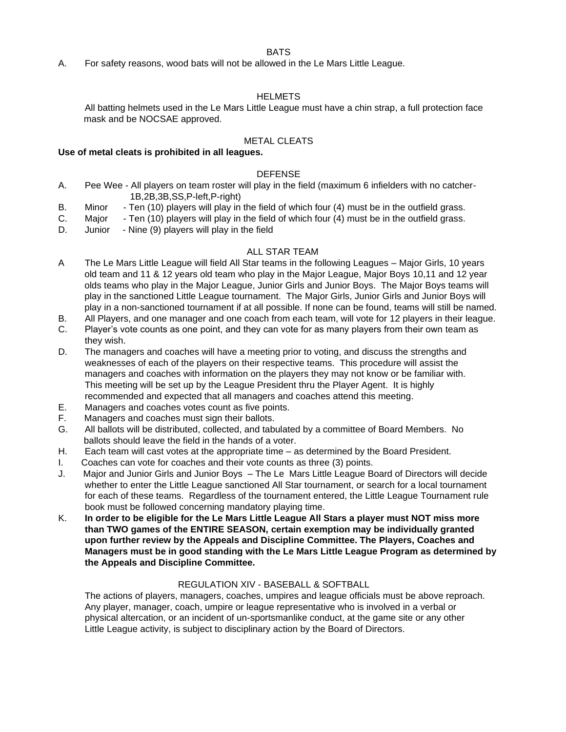#### **BATS**

A. For safety reasons, wood bats will not be allowed in the Le Mars Little League.

## HELMETS

 All batting helmets used in the Le Mars Little League must have a chin strap, a full protection face mask and be NOCSAE approved.

#### METAL CLEATS

#### **Use of metal cleats is prohibited in all leagues.**

#### **DEFENSE**

- A. Pee Wee All players on team roster will play in the field (maximum 6 infielders with no catcher- 1B,2B,3B,SS,P-left,P-right)
- B. Minor Ten (10) players will play in the field of which four (4) must be in the outfield grass.
- C. Major Ten (10) players will play in the field of which four (4) must be in the outfield grass.
- D. Junior Nine (9) players will play in the field

## ALL STAR TEAM

- A The Le Mars Little League will field All Star teams in the following Leagues Major Girls, 10 years old team and 11 & 12 years old team who play in the Major League, Major Boys 10,11 and 12 year olds teams who play in the Major League, Junior Girls and Junior Boys. The Major Boys teams will play in the sanctioned Little League tournament. The Major Girls, Junior Girls and Junior Boys will play in a non-sanctioned tournament if at all possible. If none can be found, teams will still be named.
- B. All Players, and one manager and one coach from each team, will vote for 12 players in their league.
- C. Player's vote counts as one point, and they can vote for as many players from their own team as they wish.
- D. The managers and coaches will have a meeting prior to voting, and discuss the strengths and weaknesses of each of the players on their respective teams. This procedure will assist the managers and coaches with information on the players they may not know or be familiar with. This meeting will be set up by the League President thru the Player Agent. It is highly recommended and expected that all managers and coaches attend this meeting.
- E. Managers and coaches votes count as five points.
- F. Managers and coaches must sign their ballots.
- G. All ballots will be distributed, collected, and tabulated by a committee of Board Members. No ballots should leave the field in the hands of a voter.
- H. Each team will cast votes at the appropriate time as determined by the Board President.
- I. Coaches can vote for coaches and their vote counts as three (3) points.
- J. Major and Junior Girls and Junior Boys The Le Mars Little League Board of Directors will decide whether to enter the Little League sanctioned All Star tournament, or search for a local tournament for each of these teams. Regardless of the tournament entered, the Little League Tournament rule book must be followed concerning mandatory playing time.
- K. **In order to be eligible for the Le Mars Little League All Stars a player must NOT miss more than TWO games of the ENTIRE SEASON, certain exemption may be individually granted upon further review by the Appeals and Discipline Committee. The Players, Coaches and Managers must be in good standing with the Le Mars Little League Program as determined by the Appeals and Discipline Committee.**

## REGULATION XIV - BASEBALL & SOFTBALL

 The actions of players, managers, coaches, umpires and league officials must be above reproach. Any player, manager, coach, umpire or league representative who is involved in a verbal or physical altercation, or an incident of un-sportsmanlike conduct, at the game site or any other Little League activity, is subject to disciplinary action by the Board of Directors.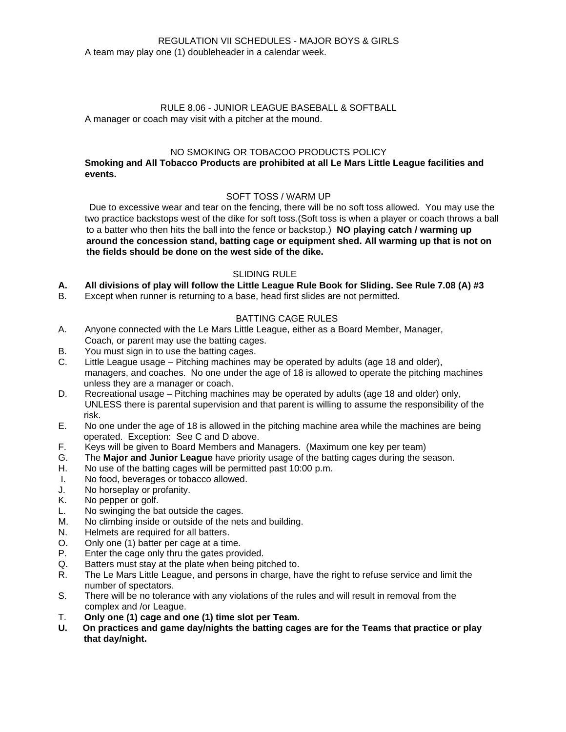RULE 8.06 - JUNIOR LEAGUE BASEBALL & SOFTBALL A manager or coach may visit with a pitcher at the mound.

#### NO SMOKING OR TOBACOO PRODUCTS POLICY

#### **Smoking and All Tobacco Products are prohibited at all Le Mars Little League facilities and events.**

#### SOFT TOSS / WARM UP

Due to excessive wear and tear on the fencing, there will be no soft toss allowed. You may use the two practice backstops west of the dike for soft toss.(Soft toss is when a player or coach throws a ball to a batter who then hits the ball into the fence or backstop.) **NO playing catch / warming up around the concession stand, batting cage or equipment shed. All warming up that is not on the fields should be done on the west side of the dike.**

#### SLIDING RULE

**A. All divisions of play will follow the Little League Rule Book for Sliding. See Rule 7.08 (A) #3**  B. Except when runner is returning to a base, head first slides are not permitted.

#### BATTING CAGE RULES

- A. Anyone connected with the Le Mars Little League, either as a Board Member, Manager, Coach, or parent may use the batting cages.
- B. You must sign in to use the batting cages.
- C. Little League usage Pitching machines may be operated by adults (age 18 and older), managers, and coaches. No one under the age of 18 is allowed to operate the pitching machines unless they are a manager or coach.
- D. Recreational usage Pitching machines may be operated by adults (age 18 and older) only, UNLESS there is parental supervision and that parent is willing to assume the responsibility of the risk.
- E. No one under the age of 18 is allowed in the pitching machine area while the machines are being operated. Exception: See C and D above.
- F. Keys will be given to Board Members and Managers. (Maximum one key per team)
- G. The **Major and Junior League** have priority usage of the batting cages during the season.
- H. No use of the batting cages will be permitted past 10:00 p.m.
- I. No food, beverages or tobacco allowed.
- J. No horseplay or profanity.
- K. No pepper or golf.
- L. No swinging the bat outside the cages.
- M. No climbing inside or outside of the nets and building.
- N. Helmets are required for all batters.
- O. Only one (1) batter per cage at a time.
- P. Enter the cage only thru the gates provided.
- Q. Batters must stay at the plate when being pitched to.
- R. The Le Mars Little League, and persons in charge, have the right to refuse service and limit the number of spectators.
- S. There will be no tolerance with any violations of the rules and will result in removal from the complex and /or League.
- T. **Only one (1) cage and one (1) time slot per Team.**
- **U. On practices and game day/nights the batting cages are for the Teams that practice or play that day/night.**